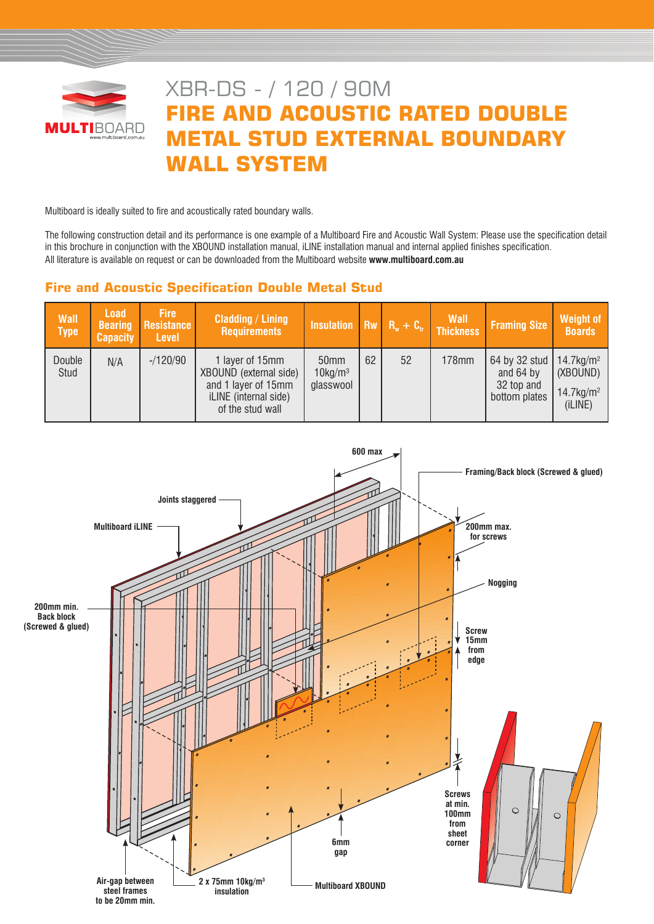

# XBR-DS - / 120 / 90M **FIRE AND ACOUSTIC RATED DOUBLE METAL STUD EXTERNAL BOUNDARY WALL SYSTEM**

Multiboard is ideally suited to fire and acoustically rated boundary walls.

The following construction detail and its performance is one example of a Multiboard Fire and Acoustic Wall System: Please use the specification detail in this brochure in conjunction with the XBOUND installation manual, iLINE installation manual and internal applied finishes specification. All literature is available on request or can be downloaded from the Multiboard website **www.multiboard.com.au**

# **Fire and Acoustic Specification Double Metal Stud**

| <b>Wall</b><br><b>Type</b> | Load<br><b>Bearing</b><br><b>Capacity</b> | <b>Fire</b><br>Resistance<br><b>Level</b> | <b>Cladding / Lining</b><br><b>Requirements</b>                                                               |                                             |    |    | Insulation $\begin{vmatrix} R_w & R_w + C_v \end{vmatrix}$ Wall | <b>Framing Size</b>                                                                | <b>Weight of</b><br><b>Boards</b>               |
|----------------------------|-------------------------------------------|-------------------------------------------|---------------------------------------------------------------------------------------------------------------|---------------------------------------------|----|----|-----------------------------------------------------------------|------------------------------------------------------------------------------------|-------------------------------------------------|
| Double<br>Stud             | N/A                                       | $-120/90$                                 | 1 layer of 15mm<br>XBOUND (external side)<br>and 1 layer of 15mm<br>iLINE (internal side)<br>of the stud wall | 50mm<br>$10$ kg/m <sup>3</sup><br>glasswool | 62 | 52 | 178mm                                                           | 64 by 32 stud   14.7 kg/m <sup>2</sup><br>and 64 by<br>32 top and<br>bottom plates | (XBOUND)<br>$14.7$ kg/m <sup>2</sup><br>(iLINE) |